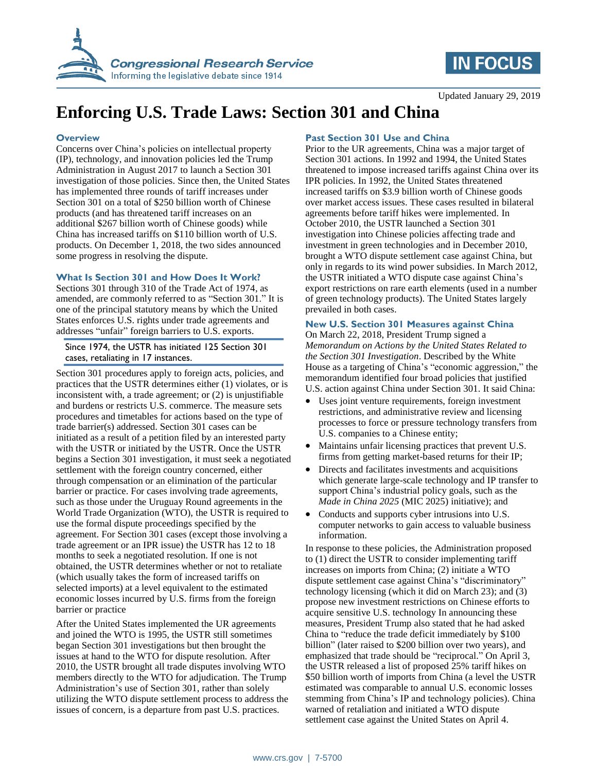



Updated January 29, 2019

# **Enforcing U.S. Trade Laws: Section 301 and China**

#### **Overview**

Concerns over China's policies on intellectual property (IP), technology, and innovation policies led the Trump Administration in August 2017 to launch a Section 301 investigation of those policies. Since then, the United States has implemented three rounds of tariff increases under Section 301 on a total of \$250 billion worth of Chinese products (and has threatened tariff increases on an additional \$267 billion worth of Chinese goods) while China has increased tariffs on \$110 billion worth of U.S. products. On December 1, 2018, the two sides announced some progress in resolving the dispute.

#### **What Is Section 301 and How Does It Work?**

Sections 301 through 310 of the Trade Act of 1974, as amended, are commonly referred to as "Section 301." It is one of the principal statutory means by which the United States enforces U.S. rights under trade agreements and addresses "unfair" foreign barriers to U.S. exports.

#### Since 1974, the USTR has initiated 125 Section 301 cases, retaliating in 17 instances.

Section 301 procedures apply to foreign acts, policies, and practices that the USTR determines either (1) violates, or is inconsistent with, a trade agreement; or (2) is unjustifiable and burdens or restricts U.S. commerce. The measure sets procedures and timetables for actions based on the type of trade barrier(s) addressed. Section 301 cases can be initiated as a result of a petition filed by an interested party with the USTR or initiated by the USTR. Once the USTR begins a Section 301 investigation, it must seek a negotiated settlement with the foreign country concerned, either through compensation or an elimination of the particular barrier or practice. For cases involving trade agreements, such as those under the Uruguay Round agreements in the World Trade Organization (WTO), the USTR is required to use the formal dispute proceedings specified by the agreement. For Section 301 cases (except those involving a trade agreement or an IPR issue) the USTR has 12 to 18 months to seek a negotiated resolution. If one is not obtained, the USTR determines whether or not to retaliate (which usually takes the form of increased tariffs on selected imports) at a level equivalent to the estimated economic losses incurred by U.S. firms from the foreign barrier or practice

After the United States implemented the UR agreements and joined the WTO is 1995, the USTR still sometimes began Section 301 investigations but then brought the issues at hand to the WTO for dispute resolution. After 2010, the USTR brought all trade disputes involving WTO members directly to the WTO for adjudication. The Trump Administration's use of Section 301, rather than solely utilizing the WTO dispute settlement process to address the issues of concern, is a departure from past U.S. practices.

### **Past Section 301 Use and China**

Prior to the UR agreements, China was a major target of Section 301 actions. In 1992 and 1994, the United States threatened to impose increased tariffs against China over its IPR policies. In 1992, the United States threatened increased tariffs on \$3.9 billion worth of Chinese goods over market access issues. These cases resulted in bilateral agreements before tariff hikes were implemented. In October 2010, the USTR launched a Section 301 investigation into Chinese policies affecting trade and investment in green technologies and in December 2010, brought a WTO dispute settlement case against China, but only in regards to its wind power subsidies. In March 2012, the USTR initiated a WTO dispute case against China's export restrictions on rare earth elements (used in a number of green technology products). The United States largely prevailed in both cases.

# **New U.S. Section 301 Measures against China**

On March 22, 2018, President Trump signed a *Memorandum on Actions by the United States Related to the Section 301 Investigation*. Described by the White House as a targeting of China's "economic aggression," the memorandum identified four broad policies that justified U.S. action against China under Section 301. It said China:

- Uses joint venture requirements, foreign investment restrictions, and administrative review and licensing processes to force or pressure technology transfers from U.S. companies to a Chinese entity;
- Maintains unfair licensing practices that prevent U.S. firms from getting market-based returns for their IP;
- Directs and facilitates investments and acquisitions which generate large-scale technology and IP transfer to support China's industrial policy goals, such as the *Made in China 2025* (MIC 2025) initiative); and
- Conducts and supports cyber intrusions into U.S. computer networks to gain access to valuable business information.

In response to these policies, the Administration proposed to (1) direct the USTR to consider implementing tariff increases on imports from China; (2) initiate a WTO dispute settlement case against China's "discriminatory" technology licensing (which it did on March 23); and (3) propose new investment restrictions on Chinese efforts to acquire sensitive U.S. technology In announcing these measures, President Trump also stated that he had asked China to "reduce the trade deficit immediately by \$100 billion" (later raised to \$200 billion over two years), and emphasized that trade should be "reciprocal." On April 3, the USTR released a list of proposed 25% tariff hikes on \$50 billion worth of imports from China (a level the USTR estimated was comparable to annual U.S. economic losses stemming from China's IP and technology policies). China warned of retaliation and initiated a WTO dispute settlement case against the United States on April 4.